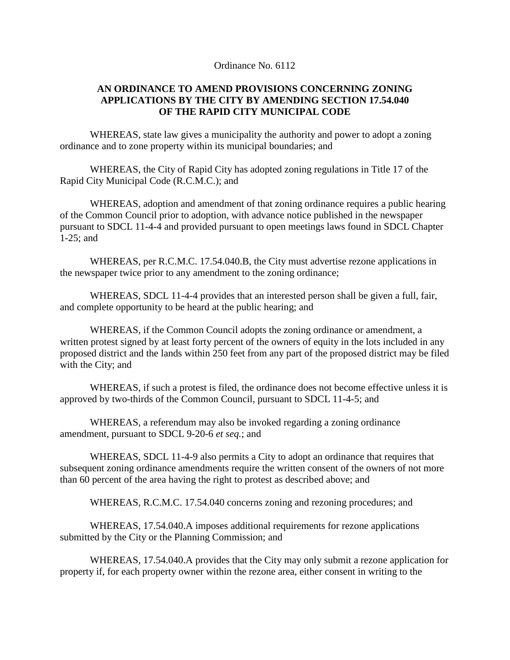## Ordinance No. 6112

## **AN ORDINANCE TO AMEND PROVISIONS CONCERNING ZONING APPLICATIONS BY THE CITY BY AMENDING SECTION 17.54.040 OF THE RAPID CITY MUNICIPAL CODE**

WHEREAS, state law gives a municipality the authority and power to adopt a zoning ordinance and to zone property within its municipal boundaries; and

WHEREAS, the City of Rapid City has adopted zoning regulations in Title 17 of the Rapid City Municipal Code (R.C.M.C.); and

WHEREAS, adoption and amendment of that zoning ordinance requires a public hearing of the Common Council prior to adoption, with advance notice published in the newspaper pursuant to SDCL 11-4-4 and provided pursuant to open meetings laws found in SDCL Chapter 1-25; and

WHEREAS, per R.C.M.C. 17.54.040.B, the City must advertise rezone applications in the newspaper twice prior to any amendment to the zoning ordinance;

WHEREAS, SDCL 11-4-4 provides that an interested person shall be given a full, fair, and complete opportunity to be heard at the public hearing; and

WHEREAS, if the Common Council adopts the zoning ordinance or amendment, a written protest signed by at least forty percent of the owners of equity in the lots included in any proposed district and the lands within 250 feet from any part of the proposed district may be filed with the City; and

WHEREAS, if such a protest is filed, the ordinance does not become effective unless it is approved by two-thirds of the Common Council, pursuant to SDCL 11-4-5; and

WHEREAS, a referendum may also be invoked regarding a zoning ordinance amendment, pursuant to SDCL 9-20-6 *et seq.*; and

WHEREAS, SDCL 11-4-9 also permits a City to adopt an ordinance that requires that subsequent zoning ordinance amendments require the written consent of the owners of not more than 60 percent of the area having the right to protest as described above; and

WHEREAS, R.C.M.C. 17.54.040 concerns zoning and rezoning procedures; and

WHEREAS, 17.54.040.A imposes additional requirements for rezone applications submitted by the City or the Planning Commission; and

WHEREAS, 17.54.040.A provides that the City may only submit a rezone application for property if, for each property owner within the rezone area, either consent in writing to the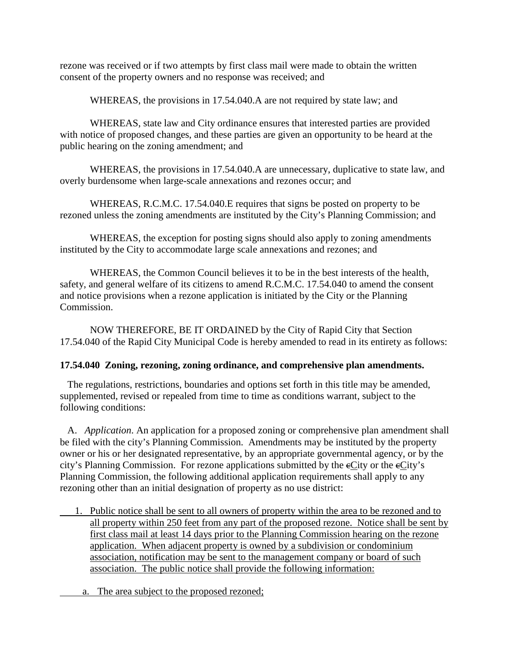rezone was received or if two attempts by first class mail were made to obtain the written consent of the property owners and no response was received; and

WHEREAS, the provisions in 17.54.040.A are not required by state law; and

WHEREAS, state law and City ordinance ensures that interested parties are provided with notice of proposed changes, and these parties are given an opportunity to be heard at the public hearing on the zoning amendment; and

WHEREAS, the provisions in 17.54.040.A are unnecessary, duplicative to state law, and overly burdensome when large-scale annexations and rezones occur; and

WHEREAS, R.C.M.C. 17.54.040.E requires that signs be posted on property to be rezoned unless the zoning amendments are instituted by the City's Planning Commission; and

WHEREAS, the exception for posting signs should also apply to zoning amendments instituted by the City to accommodate large scale annexations and rezones; and

WHEREAS, the Common Council believes it to be in the best interests of the health, safety, and general welfare of its citizens to amend R.C.M.C. 17.54.040 to amend the consent and notice provisions when a rezone application is initiated by the City or the Planning Commission.

NOW THEREFORE, BE IT ORDAINED by the City of Rapid City that Section 17.54.040 of the Rapid City Municipal Code is hereby amended to read in its entirety as follows:

## **17.54.040 Zoning, rezoning, zoning ordinance, and comprehensive plan amendments.**

 The regulations, restrictions, boundaries and options set forth in this title may be amended, supplemented, revised or repealed from time to time as conditions warrant, subject to the following conditions:

 A. *Application*. An application for a proposed zoning or comprehensive plan amendment shall be filed with the city's Planning Commission. Amendments may be instituted by the property owner or his or her designated representative, by an appropriate governmental agency, or by the city's Planning Commission. For rezone applications submitted by the eCity or the eCity's Planning Commission, the following additional application requirements shall apply to any rezoning other than an initial designation of property as no use district:

- 1. Public notice shall be sent to all owners of property within the area to be rezoned and to all property within 250 feet from any part of the proposed rezone. Notice shall be sent by first class mail at least 14 days prior to the Planning Commission hearing on the rezone application. When adjacent property is owned by a subdivision or condominium association, notification may be sent to the management company or board of such association. The public notice shall provide the following information:
- a. The area subject to the proposed rezoned;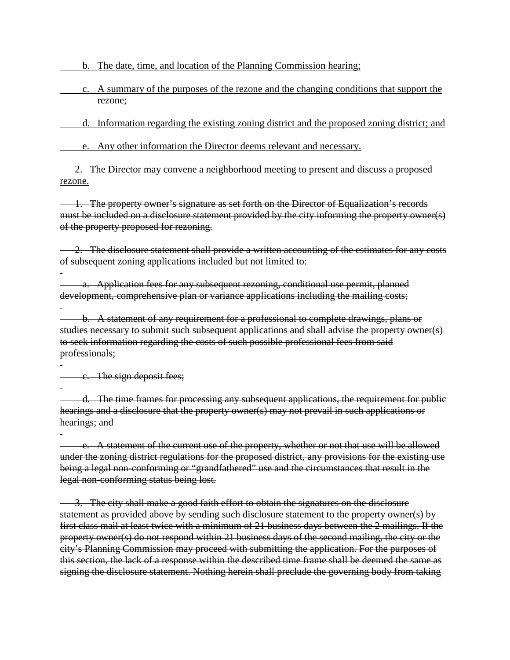b. The date, time, and location of the Planning Commission hearing;

 c. A summary of the purposes of the rezone and the changing conditions that support the rezone;

d. Information regarding the existing zoning district and the proposed zoning district; and

e. Any other information the Director deems relevant and necessary.

2. The Director may convene a neighborhood meeting to present and discuss a proposed rezone.

 1. The property owner's signature as set forth on the Director of Equalization's records must be included on a disclosure statement provided by the city informing the property owner(s) of the property proposed for rezoning.

2. The disclosure statement shall provide a written accounting of the estimates for any costs of subsequent zoning applications included but not limited to:

 a. Application fees for any subsequent rezoning, conditional use permit, planned development, comprehensive plan or variance applications including the mailing costs;

 b. A statement of any requirement for a professional to complete drawings, plans or studies necessary to submit such subsequent applications and shall advise the property owner(s) to seek information regarding the costs of such possible professional fees from said professionals;

c. The sign deposit fees;

 d. The time frames for processing any subsequent applications, the requirement for public hearings and a disclosure that the property owner(s) may not prevail in such applications or hearings; and

 e. A statement of the current use of the property, whether or not that use will be allowed under the zoning district regulations for the proposed district, any provisions for the existing use being a legal non-conforming or "grandfathered" use and the circumstances that result in the legal non-conforming status being lost.

 3. The city shall make a good faith effort to obtain the signatures on the disclosure statement as provided above by sending such disclosure statement to the property owner(s) by first class mail at least twice with a minimum of 21 business days between the 2 mailings. If the property owner(s) do not respond within 21 business days of the second mailing, the city or the city's Planning Commission may proceed with submitting the application. For the purposes of this section, the lack of a response within the described time frame shall be deemed the same as signing the disclosure statement. Nothing herein shall preclude the governing body from taking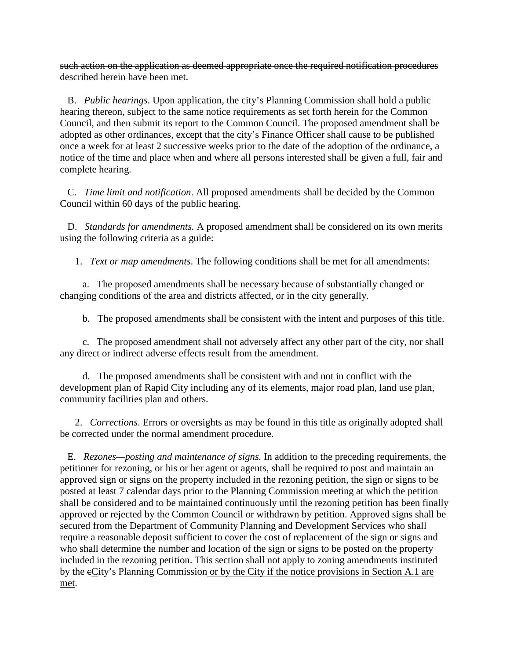such action on the application as deemed appropriate once the required notification procedures described herein have been met.

 B. *Public hearings*. Upon application, the city's Planning Commission shall hold a public hearing thereon, subject to the same notice requirements as set forth herein for the Common Council, and then submit its report to the Common Council. The proposed amendment shall be adopted as other ordinances, except that the city's Finance Officer shall cause to be published once a week for at least 2 successive weeks prior to the date of the adoption of the ordinance, a notice of the time and place when and where all persons interested shall be given a full, fair and complete hearing.

 C. *Time limit and notification*. All proposed amendments shall be decided by the Common Council within 60 days of the public hearing.

 D. *Standards for amendments.* A proposed amendment shall be considered on its own merits using the following criteria as a guide:

1. *Text or map amendments*. The following conditions shall be met for all amendments:

 a. The proposed amendments shall be necessary because of substantially changed or changing conditions of the area and districts affected, or in the city generally.

b. The proposed amendments shall be consistent with the intent and purposes of this title.

 c. The proposed amendment shall not adversely affect any other part of the city, nor shall any direct or indirect adverse effects result from the amendment.

 d. The proposed amendments shall be consistent with and not in conflict with the development plan of Rapid City including any of its elements, major road plan, land use plan, community facilities plan and others.

 2. *Corrections*. Errors or oversights as may be found in this title as originally adopted shall be corrected under the normal amendment procedure.

 E. *Rezones—posting and maintenance of signs.* In addition to the preceding requirements, the petitioner for rezoning, or his or her agent or agents, shall be required to post and maintain an approved sign or signs on the property included in the rezoning petition, the sign or signs to be posted at least 7 calendar days prior to the Planning Commission meeting at which the petition shall be considered and to be maintained continuously until the rezoning petition has been finally approved or rejected by the Common Council or withdrawn by petition. Approved signs shall be secured from the Department of Community Planning and Development Services who shall require a reasonable deposit sufficient to cover the cost of replacement of the sign or signs and who shall determine the number and location of the sign or signs to be posted on the property included in the rezoning petition. This section shall not apply to zoning amendments instituted by the cCity's Planning Commission or by the City if the notice provisions in Section A.1 are met.